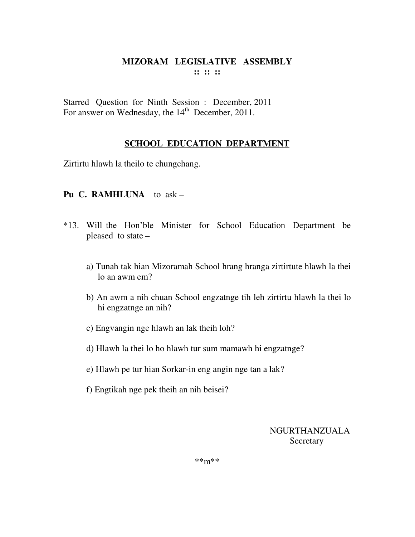Starred Question for Ninth Session : December, 2011 For answer on Wednesday, the  $14<sup>th</sup>$  December, 2011.

# **SCHOOL EDUCATION DEPARTMENT**

Zirtirtu hlawh la theilo te chungchang.

#### **Pu C. RAMHLUNA** to ask –

- \*13. Will the Hon'ble Minister for School Education Department be pleased to state –
	- a) Tunah tak hian Mizoramah School hrang hranga zirtirtute hlawh la thei lo an awm em?
	- b) An awm a nih chuan School engzatnge tih leh zirtirtu hlawh la thei lo hi engzatnge an nih?
	- c) Engvangin nge hlawh an lak theih loh?
	- d) Hlawh la thei lo ho hlawh tur sum mamawh hi engzatnge?
	- e) Hlawh pe tur hian Sorkar-in eng angin nge tan a lak?
	- f) Engtikah nge pek theih an nih beisei?

NGURTHANZUALA **Secretary**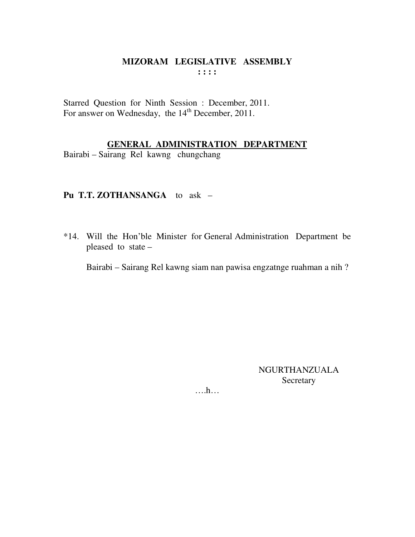Starred Question for Ninth Session : December, 2011. For answer on Wednesday, the 14<sup>th</sup> December, 2011.

# **GENERAL ADMINISTRATION DEPARTMENT**

Bairabi – Sairang Rel kawng chungchang

#### **Pu T.T. ZOTHANSANGA** to ask –

\*14. Will the Hon'ble Minister for General Administration Department be pleased to state –

Bairabi – Sairang Rel kawng siam nan pawisa engzatnge ruahman a nih ?

NGURTHANZUALA Secretary

….h…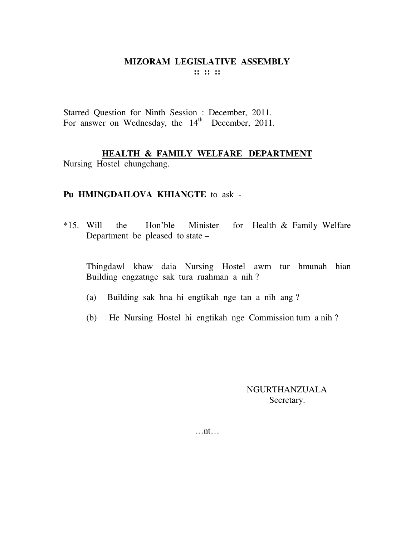Starred Question for Ninth Session : December, 2011. For answer on Wednesday, the  $14<sup>th</sup>$  December, 2011.

# **HEALTH & FAMILY WELFARE DEPARTMENT**

Nursing Hostel chungchang.

# **Pu HMINGDAILOVA KHIANGTE** to ask -

\*15. Will the Hon'ble Minister for Health & Family Welfare Department be pleased to state –

Thingdawl khaw daia Nursing Hostel awm tur hmunah hian Building engzatnge sak tura ruahman a nih ?

- (a) Building sak hna hi engtikah nge tan a nih ang ?
- (b) He Nursing Hostel hi engtikah nge Commission tum a nih ?

## NGURTHANZUALA Secretary.

…nt…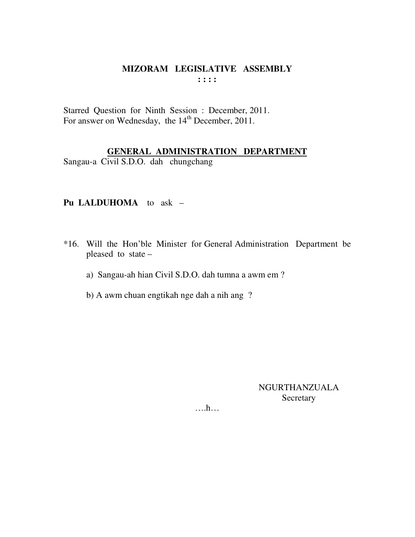Starred Question for Ninth Session : December, 2011. For answer on Wednesday, the 14<sup>th</sup> December, 2011.

#### **GENERAL ADMINISTRATION DEPARTMENT**

Sangau-a Civil S.D.O. dah chungchang

# **Pu LALDUHOMA** to ask –

- \*16. Will the Hon'ble Minister for General Administration Department be pleased to state –
	- a) Sangau-ah hian Civil S.D.O. dah tumna a awm em ?
	- b) A awm chuan engtikah nge dah a nih ang ?

NGURTHANZUALA Secretary

….h…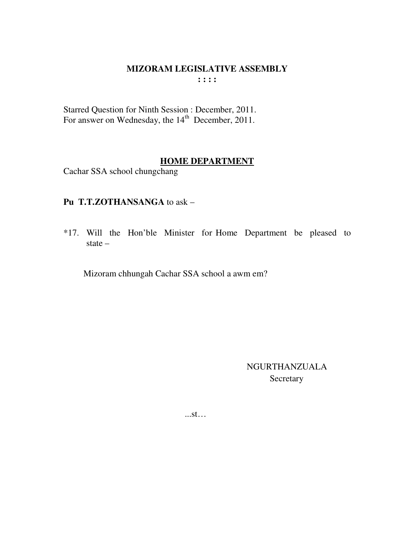#### MIZORAM LEGISLATIVE ASSEMBLY  $1:1:1$

Starred Question for Ninth Session : December, 2011.<br>For answer on Wednesday, the 14<sup>th</sup> December, 2011.

# **HOME DEPARTMENT**

Cachar SSA school chungchang

# Pu T.T.ZOTHANSANGA to ask -

\*17. Will the Hon'ble Minister for Home Department be pleased to state  $-$ 

Mizoram chhungah Cachar SSA school a awm em?

NGURTHANZUALA Secretary

 $...st...$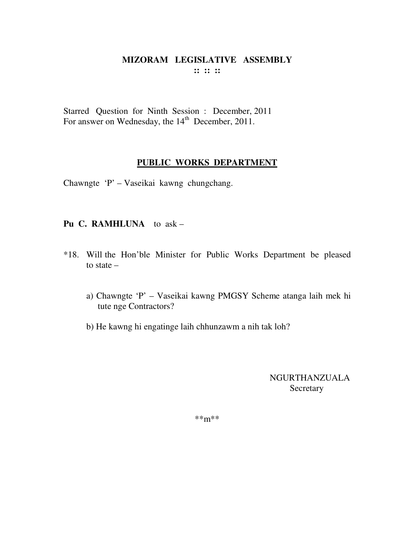Starred Question for Ninth Session : December, 2011 For answer on Wednesday, the  $14<sup>th</sup>$  December, 2011.

#### **PUBLIC WORKS DEPARTMENT**

Chawngte 'P' – Vaseikai kawng chungchang.

#### **Pu C. RAMHLUNA** to ask –

- \*18. Will the Hon'ble Minister for Public Works Department be pleased to state –
	- a) Chawngte 'P' Vaseikai kawng PMGSY Scheme atanga laih mek hi tute nge Contractors?
	- b) He kawng hi engatinge laih chhunzawm a nih tak loh?

NGURTHANZUALA **Secretary**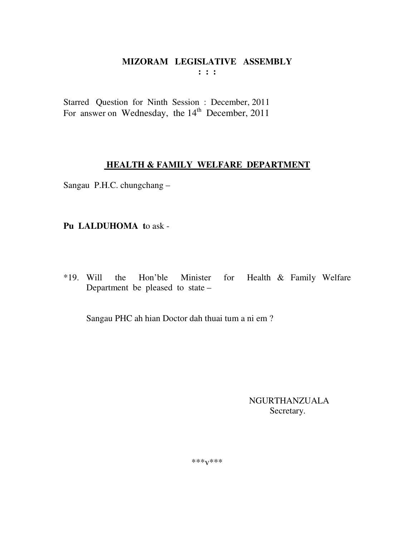Starred Question for Ninth Session : December, 2011 For answer on Wednesday, the 14<sup>th</sup> December, 2011

# **HEALTH & FAMILY WELFARE DEPARTMENT**

Sangau P.H.C. chungchang -

Pu LALDUHOMA to ask -

Hon'ble  $*19.$  Will Health & Family Welfare the Minister for Department be pleased to state -

Sangau PHC ah hian Doctor dah thuai tum a ni em?

**NGURTHANZUALA** Secretary.

\*\*\* $V$ \*\*\*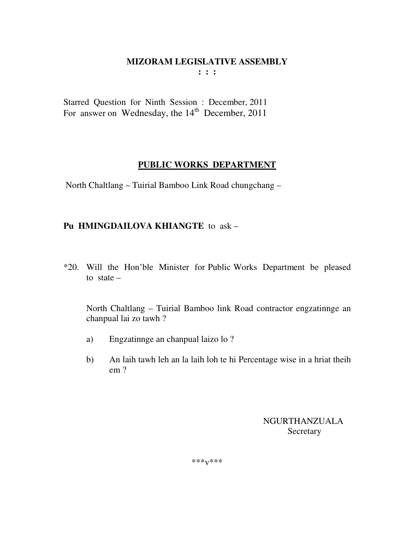Starred Question for Ninth Session : December, 2011 For answer on Wednesday, the 14<sup>th</sup> December, 2011

# **PUBLIC WORKS DEPARTMENT**

North Chaltlang – Tuirial Bamboo Link Road chungchang –

# **Pu HMINGDAILOVA KHIANGTE** to ask –

\*20. Will the Hon'ble Minister for Public Works Department be pleased to state –

 North Chaltlang – Tuirial Bamboo link Road contractor engzatinnge an chanpual lai zo tawh ?

- a) Engzatinnge an chanpual laizo lo ?
- b) An laih tawh leh an la laih loh te hi Percentage wise in a hriat theih em ?

 NGURTHANZUALA Secretary

\*\*\*v\*\*\*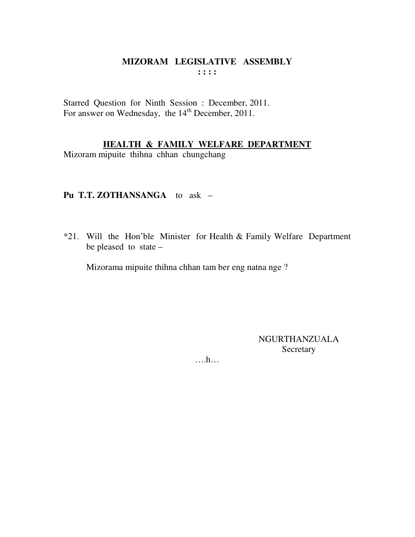Starred Question for Ninth Session : December, 2011. For answer on Wednesday, the 14<sup>th</sup> December, 2011.

## **HEALTH & FAMILY WELFARE DEPARTMENT**

Mizoram mipuite thihna chhan chungchang

## **Pu T.T. ZOTHANSANGA** to ask –

\*21. Will the Hon'ble Minister for Health & Family Welfare Department be pleased to state –

Mizorama mipuite thihna chhan tam ber eng natna nge ?

NGURTHANZUALA Secretary

….h…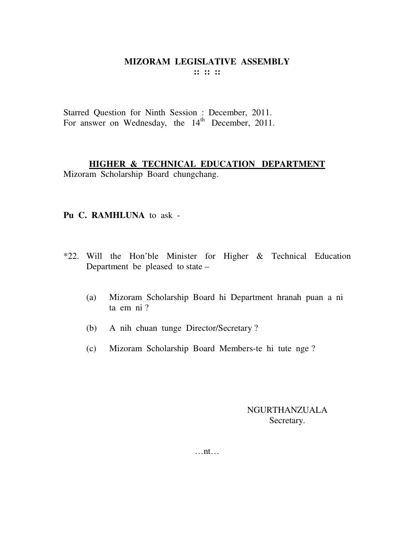Starred Question for Ninth Session : December, 2011. For answer on Wednesday, the 14<sup>th</sup> December, 2011.

# **HIGHER & TECHNICAL EDUCATION DEPARTMENT**

Mizoram Scholarship Board chungchang.

#### **Pu C. RAMHLUNA** to ask -

- \*22. Will the Hon'ble Minister for Higher & Technical Education Department be pleased to state –
	- (a) Mizoram Scholarship Board hi Department hranah puan a ni ta em ni ?
	- (b) A nih chuan tunge Director/Secretary ?
	- (c) Mizoram Scholarship Board Members-te hi tute nge ?

NGURTHANZUALA Secretary.

…nt…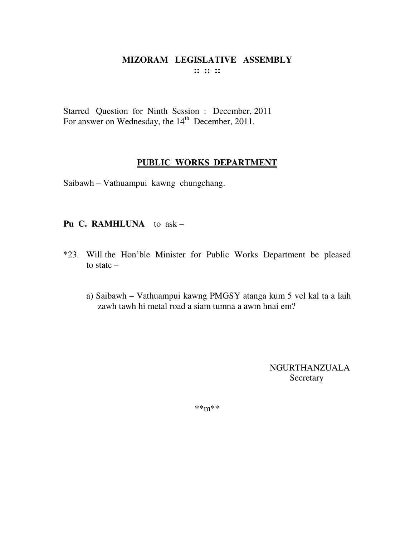Starred Question for Ninth Session : December, 2011 For answer on Wednesday, the  $14<sup>th</sup>$  December, 2011.

#### **PUBLIC WORKS DEPARTMENT**

Saibawh – Vathuampui kawng chungchang.

#### **Pu C. RAMHLUNA** to ask –

- \*23. Will the Hon'ble Minister for Public Works Department be pleased to state –
	- a) Saibawh Vathuampui kawng PMGSY atanga kum 5 vel kal ta a laih zawh tawh hi metal road a siam tumna a awm hnai em?

NGURTHANZUALA Secretary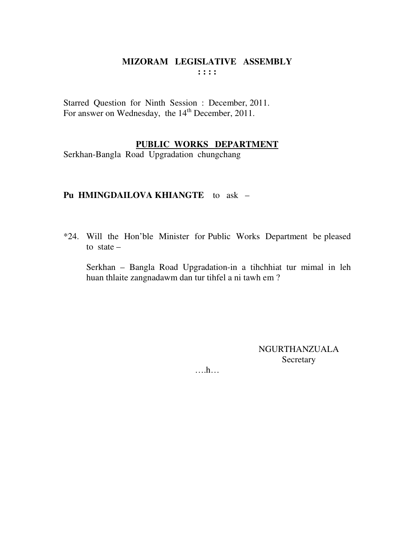Starred Question for Ninth Session : December, 2011. For answer on Wednesday, the 14<sup>th</sup> December, 2011.

## PUBLIC WORKS DEPARTMENT

Serkhan-Bangla Road Upgradation chungchang

## Pu HMINGDAILOVA KHIANGTE to ask -

\*24. Will the Hon'ble Minister for Public Works Department be pleased to state  $-$ 

Serkhan – Bangla Road Upgradation-in a tihchhiat tur mimal in leh huan thlaite zangnadawm dan tur tihfel a ni tawh em?

> NGURTHANZUALA Secretary

 $\dots$ ...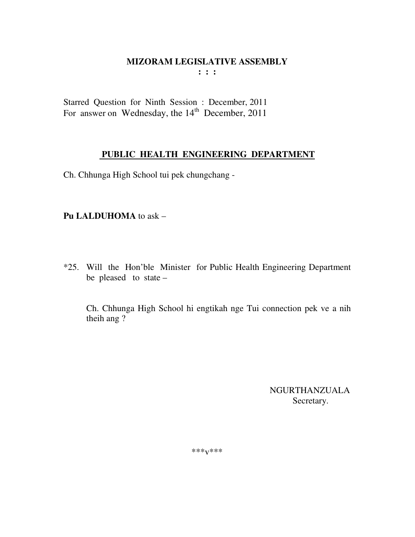Starred Question for Ninth Session : December, 2011 For answer on Wednesday, the  $14<sup>th</sup>$  December, 2011

# **PUBLIC HEALTH ENGINEERING DEPARTMENT**

Ch. Chhunga High School tui pek chungchang -

# **Pu LALDUHOMA** to ask –

\*25. Will the Hon'ble Minister for Public Health Engineering Department be pleased to state –

 Ch. Chhunga High School hi engtikah nge Tui connection pek ve a nih theih ang ?

> NGURTHANZUALA Secretary.

\*\*\*v\*\*\*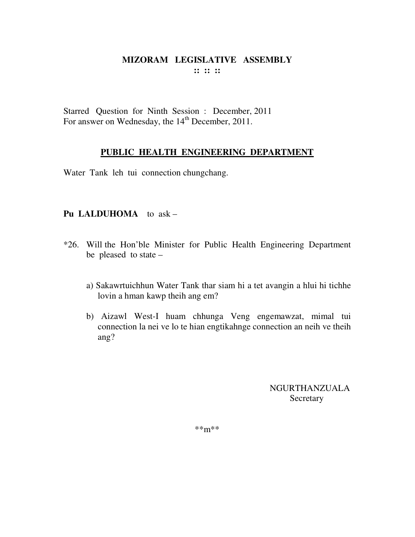Starred Question for Ninth Session : December, 2011 For answer on Wednesday, the 14<sup>th</sup> December, 2011.

# **PUBLIC HEALTH ENGINEERING DEPARTMENT**

Water Tank leh tui connection chungchang.

## **Pu LALDUHOMA** to ask –

- \*26. Will the Hon'ble Minister for Public Health Engineering Department be pleased to state –
	- a) Sakawrtuichhun Water Tank thar siam hi a tet avangin a hlui hi tichhe lovin a hman kawp theih ang em?
	- b) Aizawl West-I huam chhunga Veng engemawzat, mimal tui connection la nei ve lo te hian engtikahnge connection an neih ve theih ang?

NGURTHANZUALA Secretary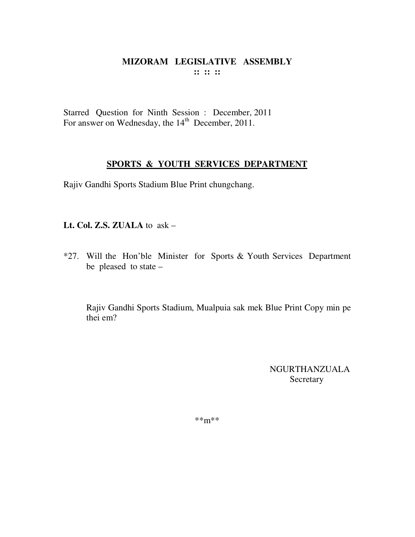Starred Question for Ninth Session : December, 2011 For answer on Wednesday, the  $14<sup>th</sup>$  December, 2011.

# **SPORTS & YOUTH SERVICES DEPARTMENT**

Rajiv Gandhi Sports Stadium Blue Print chungchang.

**Lt. Col. Z.S. ZUALA** to ask –

\*27. Will the Hon'ble Minister for Sports & Youth Services Department be pleased to state –

 Rajiv Gandhi Sports Stadium, Mualpuia sak mek Blue Print Copy min pe thei em?

> NGURTHANZUALA **Secretary**